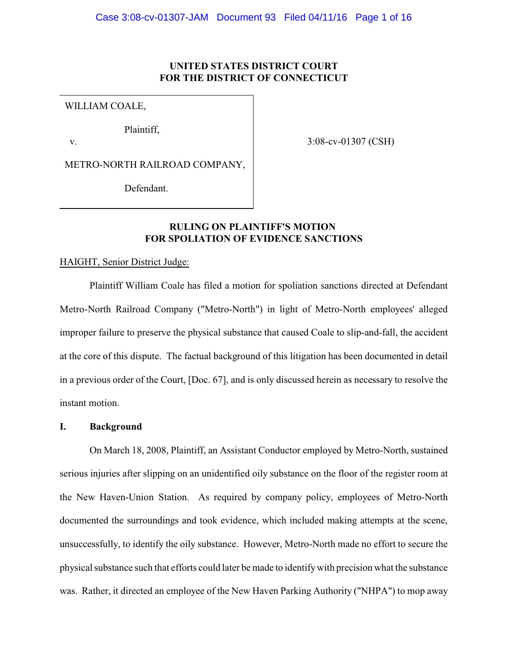# **UNITED STATES DISTRICT COURT FOR THE DISTRICT OF CONNECTICUT**

WILLIAM COALE,

Plaintiff,

v.

3:08-cv-01307 (CSH)

METRO-NORTH RAILROAD COMPANY,

Defendant.

# **RULING ON PLAINTIFF'S MOTION FOR SPOLIATION OF EVIDENCE SANCTIONS**

#### HAIGHT, Senior District Judge:

Plaintiff William Coale has filed a motion for spoliation sanctions directed at Defendant Metro-North Railroad Company ("Metro-North") in light of Metro-North employees' alleged improper failure to preserve the physical substance that caused Coale to slip-and-fall, the accident at the core of this dispute. The factual background of this litigation has been documented in detail in a previous order of the Court, [Doc. 67], and is only discussed herein as necessary to resolve the instant motion.

**I. Background**

On March 18, 2008, Plaintiff, an Assistant Conductor employed by Metro-North, sustained serious injuries after slipping on an unidentified oily substance on the floor of the register room at the New Haven-Union Station. As required by company policy, employees of Metro-North documented the surroundings and took evidence, which included making attempts at the scene, unsuccessfully, to identify the oily substance. However, Metro-North made no effort to secure the physical substance such that efforts could later be made to identifywith precision what the substance was. Rather, it directed an employee of the New Haven Parking Authority ("NHPA") to mop away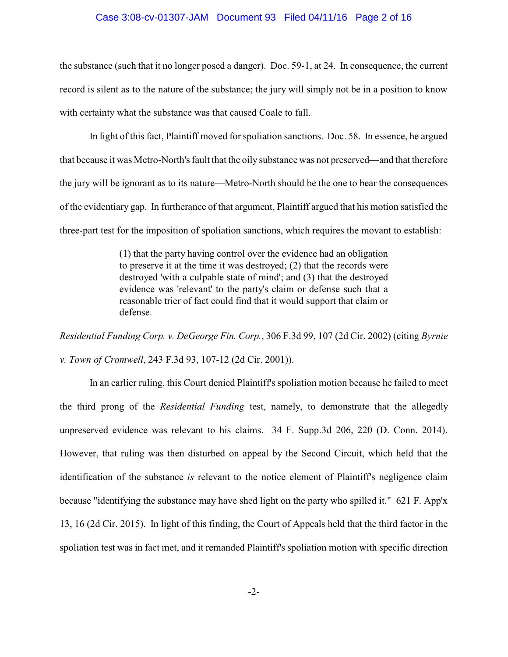#### Case 3:08-cv-01307-JAM Document 93 Filed 04/11/16 Page 2 of 16

the substance (such that it no longer posed a danger). Doc. 59-1, at 24. In consequence, the current record is silent as to the nature of the substance; the jury will simply not be in a position to know with certainty what the substance was that caused Coale to fall.

In light of this fact, Plaintiff moved for spoliation sanctions. Doc. 58. In essence, he argued that because it was Metro-North's fault that the oily substance was not preserved—and that therefore the jury will be ignorant as to its nature—Metro-North should be the one to bear the consequences of the evidentiary gap. In furtherance of that argument, Plaintiff argued that his motion satisfied the three-part test for the imposition of spoliation sanctions, which requires the movant to establish:

> (1) that the party having control over the evidence had an obligation to preserve it at the time it was destroyed; (2) that the records were destroyed 'with a culpable state of mind'; and (3) that the destroyed evidence was 'relevant' to the party's claim or defense such that a reasonable trier of fact could find that it would support that claim or defense.

*Residential Funding Corp. v. DeGeorge Fin. Corp.*, 306 F.3d 99, 107 (2d Cir. 2002) (citing *Byrnie v. Town of Cromwell*, 243 F.3d 93, 107-12 (2d Cir. 2001)).

In an earlier ruling, this Court denied Plaintiff's spoliation motion because he failed to meet the third prong of the *Residential Funding* test, namely, to demonstrate that the allegedly unpreserved evidence was relevant to his claims. 34 F. Supp.3d 206, 220 (D. Conn. 2014). However, that ruling was then disturbed on appeal by the Second Circuit, which held that the identification of the substance *is* relevant to the notice element of Plaintiff's negligence claim because "identifying the substance may have shed light on the party who spilled it." 621 F. App'x 13, 16 (2d Cir. 2015). In light of this finding, the Court of Appeals held that the third factor in the spoliation test was in fact met, and it remanded Plaintiff's spoliation motion with specific direction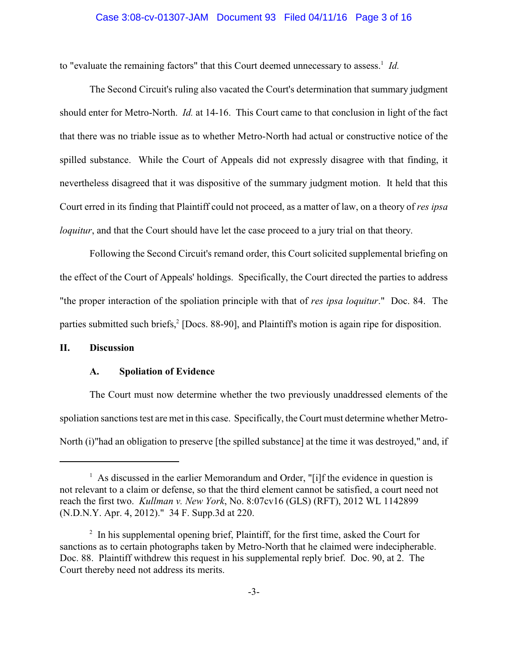# Case 3:08-cv-01307-JAM Document 93 Filed 04/11/16 Page 3 of 16

to "evaluate the remaining factors" that this Court deemed unnecessary to assess.<sup>1</sup> Id.

The Second Circuit's ruling also vacated the Court's determination that summary judgment should enter for Metro-North. *Id.* at 14-16. This Court came to that conclusion in light of the fact that there was no triable issue as to whether Metro-North had actual or constructive notice of the spilled substance. While the Court of Appeals did not expressly disagree with that finding, it nevertheless disagreed that it was dispositive of the summary judgment motion. It held that this Court erred in its finding that Plaintiff could not proceed, as a matter of law, on a theory of *res ipsa loquitur*, and that the Court should have let the case proceed to a jury trial on that theory.

Following the Second Circuit's remand order, this Court solicited supplemental briefing on the effect of the Court of Appeals' holdings. Specifically, the Court directed the parties to address "the proper interaction of the spoliation principle with that of *res ipsa loquitur*." Doc. 84. The parties submitted such briefs,<sup>2</sup> [Docs. 88-90], and Plaintiff's motion is again ripe for disposition.

## **II. Discussion**

## **A. Spoliation of Evidence**

The Court must now determine whether the two previously unaddressed elements of the spoliation sanctions test are met in this case. Specifically, the Court must determine whether Metro-North (i)"had an obligation to preserve [the spilled substance] at the time it was destroyed," and, if

 $\frac{1}{1}$  As discussed in the earlier Memorandum and Order, "[i]f the evidence in question is not relevant to a claim or defense, so that the third element cannot be satisfied, a court need not reach the first two. *Kullman v. New York*, No. 8:07cv16 (GLS) (RFT), 2012 WL 1142899 (N.D.N.Y. Apr. 4, 2012)." 34 F. Supp.3d at 220.

 $\frac{1}{2}$  In his supplemental opening brief, Plaintiff, for the first time, asked the Court for sanctions as to certain photographs taken by Metro-North that he claimed were indecipherable. Doc. 88. Plaintiff withdrew this request in his supplemental reply brief. Doc. 90, at 2. The Court thereby need not address its merits.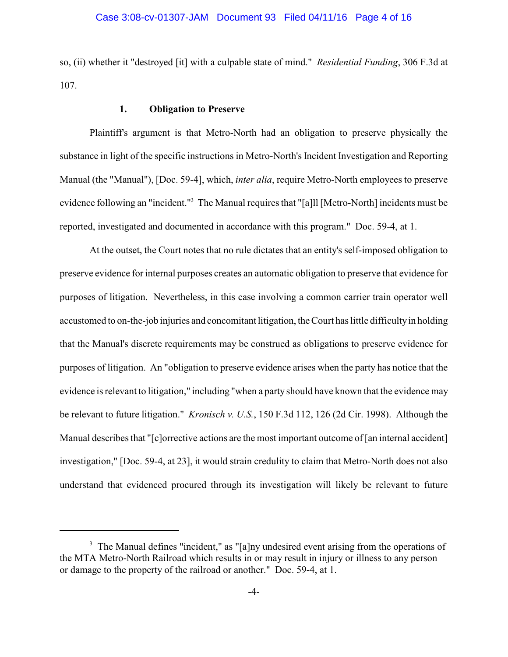so, (ii) whether it "destroyed [it] with a culpable state of mind." *Residential Funding*, 306 F.3d at 107.

# **1. Obligation to Preserve**

Plaintiff's argument is that Metro-North had an obligation to preserve physically the substance in light of the specific instructions in Metro-North's Incident Investigation and Reporting Manual (the "Manual"), [Doc. 59-4], which, *inter alia*, require Metro-North employees to preserve evidence following an "incident."<sup>3</sup> The Manual requires that "[a]ll [Metro-North] incidents must be reported, investigated and documented in accordance with this program." Doc. 59-4, at 1.

At the outset, the Court notes that no rule dictates that an entity's self-imposed obligation to preserve evidence for internal purposes creates an automatic obligation to preserve that evidence for purposes of litigation. Nevertheless, in this case involving a common carrier train operator well accustomed to on-the-job injuries and concomitant litigation, the Court has little difficultyin holding that the Manual's discrete requirements may be construed as obligations to preserve evidence for purposes of litigation. An "obligation to preserve evidence arises when the party has notice that the evidence is relevant to litigation," including "when a party should have known that the evidence may be relevant to future litigation." *Kronisch v. U.S.*, 150 F.3d 112, 126 (2d Cir. 1998). Although the Manual describes that "[c]orrective actions are the most important outcome of [an internal accident] investigation," [Doc. 59-4, at 23], it would strain credulity to claim that Metro-North does not also understand that evidenced procured through its investigation will likely be relevant to future

<sup>&</sup>lt;sup>3</sup> The Manual defines "incident," as "[a]ny undesired event arising from the operations of the MTA Metro-North Railroad which results in or may result in injury or illness to any person or damage to the property of the railroad or another." Doc. 59-4, at 1.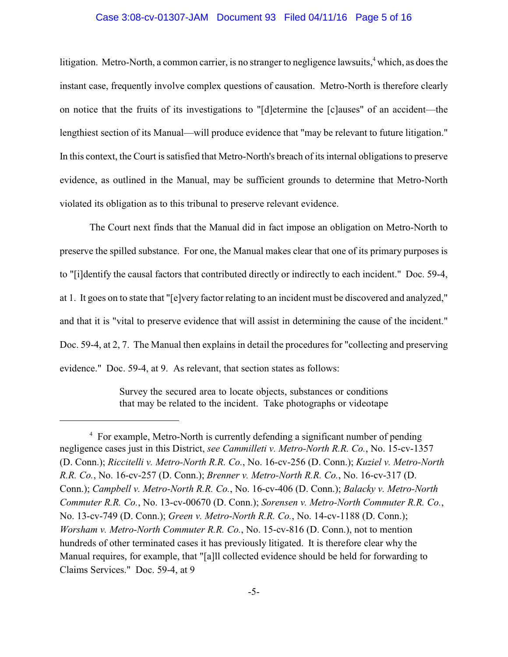#### Case 3:08-cv-01307-JAM Document 93 Filed 04/11/16 Page 5 of 16

litigation. Metro-North, a common carrier, is no stranger to negligence lawsuits, $4$  which, as does the instant case, frequently involve complex questions of causation. Metro-North is therefore clearly on notice that the fruits of its investigations to "[d]etermine the [c]auses" of an accident—the lengthiest section of its Manual—will produce evidence that "may be relevant to future litigation." In this context, the Court is satisfied that Metro-North's breach of its internal obligations to preserve evidence, as outlined in the Manual, may be sufficient grounds to determine that Metro-North violated its obligation as to this tribunal to preserve relevant evidence.

The Court next finds that the Manual did in fact impose an obligation on Metro-North to preserve the spilled substance. For one, the Manual makes clear that one of its primary purposes is to "[i]dentify the causal factors that contributed directly or indirectly to each incident." Doc. 59-4, at 1. It goes on to state that "[e]very factor relating to an incident must be discovered and analyzed," and that it is "vital to preserve evidence that will assist in determining the cause of the incident." Doc. 59-4, at 2, 7. The Manual then explains in detail the procedures for "collecting and preserving evidence." Doc. 59-4, at 9. As relevant, that section states as follows:

> Survey the secured area to locate objects, substances or conditions that may be related to the incident. Take photographs or videotape

<sup>&</sup>lt;sup>4</sup> For example, Metro-North is currently defending a significant number of pending negligence cases just in this District, *see Cammilleti v. Metro-North R.R. Co.*, No. 15-cv-1357 (D. Conn.); *Riccitelli v. Metro-North R.R. Co.*, No. 16-cv-256 (D. Conn.); *Kuziel v. Metro-North R.R. Co.*, No. 16-cv-257 (D. Conn.); *Brenner v. Metro-North R.R. Co.*, No. 16-cv-317 (D. Conn.); *Campbell v. Metro-North R.R. Co.*, No. 16-cv-406 (D. Conn.); *Balacky v. Metro-North Commuter R.R. Co.*, No. 13-cv-00670 (D. Conn.); *Sorensen v. Metro-North Commuter R.R. Co.*, No. 13-cv-749 (D. Conn.); *Green v. Metro-North R.R. Co.*, No. 14-cv-1188 (D. Conn.); *Worsham v. Metro-North Commuter R.R. Co.*, No. 15-cv-816 (D. Conn.), not to mention hundreds of other terminated cases it has previously litigated. It is therefore clear why the Manual requires, for example, that "[a]ll collected evidence should be held for forwarding to Claims Services." Doc. 59-4, at 9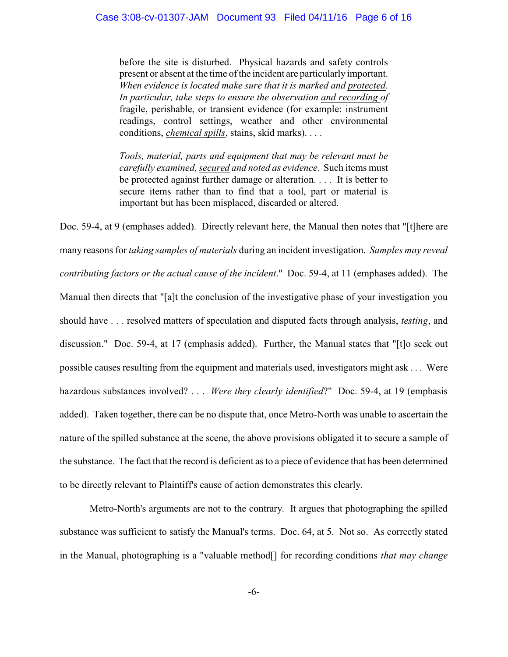before the site is disturbed. Physical hazards and safety controls present or absent at the time of the incident are particularly important. *When evidence is located make sure that it is marked and protected*. *In particular, take steps to ensure the observation and recording of* fragile, perishable, or transient evidence (for example: instrument readings, control settings, weather and other environmental conditions, *chemical spills*, stains, skid marks). . . .

*Tools, material, parts and equipment that may be relevant must be carefully examined, secured and noted as evidence*. Such items must be protected against further damage or alteration. . . . It is better to secure items rather than to find that a tool, part or material is important but has been misplaced, discarded or altered.

Doc. 59-4, at 9 (emphases added). Directly relevant here, the Manual then notes that "[t]here are many reasons for *taking samples of materials* during an incident investigation. *Samples may reveal contributing factors or the actual cause of the incident*." Doc. 59-4, at 11 (emphases added). The Manual then directs that "[a]t the conclusion of the investigative phase of your investigation you should have . . . resolved matters of speculation and disputed facts through analysis, *testing*, and discussion." Doc. 59-4, at 17 (emphasis added). Further, the Manual states that "[t]o seek out possible causes resulting from the equipment and materials used, investigators might ask . . . Were hazardous substances involved? . . . *Were they clearly identified*?" Doc. 59-4, at 19 (emphasis added). Taken together, there can be no dispute that, once Metro-North was unable to ascertain the nature of the spilled substance at the scene, the above provisions obligated it to secure a sample of the substance. The fact that the record is deficient as to a piece of evidence that has been determined to be directly relevant to Plaintiff's cause of action demonstrates this clearly.

Metro-North's arguments are not to the contrary. It argues that photographing the spilled substance was sufficient to satisfy the Manual's terms. Doc. 64, at 5. Not so. As correctly stated in the Manual, photographing is a "valuable method[] for recording conditions *that may change*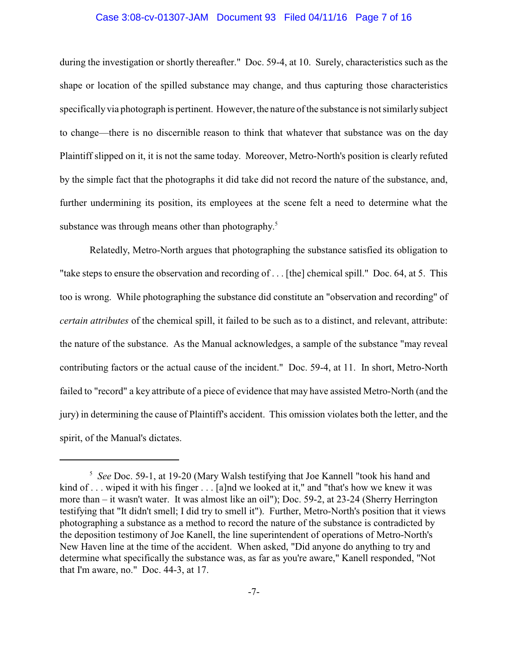#### Case 3:08-cv-01307-JAM Document 93 Filed 04/11/16 Page 7 of 16

during the investigation or shortly thereafter." Doc. 59-4, at 10. Surely, characteristics such as the shape or location of the spilled substance may change, and thus capturing those characteristics specifically via photograph is pertinent. However, the nature of the substance is not similarly subject to change—there is no discernible reason to think that whatever that substance was on the day Plaintiff slipped on it, it is not the same today. Moreover, Metro-North's position is clearly refuted by the simple fact that the photographs it did take did not record the nature of the substance, and, further undermining its position, its employees at the scene felt a need to determine what the substance was through means other than photography.<sup>5</sup>

Relatedly, Metro-North argues that photographing the substance satisfied its obligation to "take steps to ensure the observation and recording of . . . [the] chemical spill." Doc. 64, at 5. This too is wrong. While photographing the substance did constitute an "observation and recording" of *certain attributes* of the chemical spill, it failed to be such as to a distinct, and relevant, attribute: the nature of the substance. As the Manual acknowledges, a sample of the substance "may reveal contributing factors or the actual cause of the incident." Doc. 59-4, at 11. In short, Metro-North failed to "record" a key attribute of a piece of evidence that may have assisted Metro-North (and the jury) in determining the cause of Plaintiff's accident. This omission violates both the letter, and the spirit, of the Manual's dictates.

<sup>&</sup>lt;sup>5</sup> See Doc. 59-1, at 19-20 (Mary Walsh testifying that Joe Kannell "took his hand and kind of . . . wiped it with his finger . . . [a]nd we looked at it," and "that's how we knew it was more than – it wasn't water. It was almost like an oil"); Doc. 59-2, at 23-24 (Sherry Herrington testifying that "It didn't smell; I did try to smell it"). Further, Metro-North's position that it views photographing a substance as a method to record the nature of the substance is contradicted by the deposition testimony of Joe Kanell, the line superintendent of operations of Metro-North's New Haven line at the time of the accident. When asked, "Did anyone do anything to try and determine what specifically the substance was, as far as you're aware," Kanell responded, "Not that I'm aware, no." Doc. 44-3, at 17.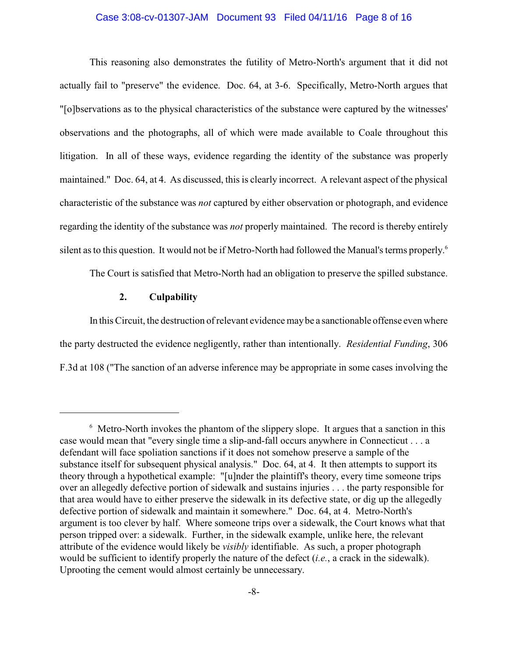#### Case 3:08-cv-01307-JAM Document 93 Filed 04/11/16 Page 8 of 16

This reasoning also demonstrates the futility of Metro-North's argument that it did not actually fail to "preserve" the evidence. Doc. 64, at 3-6. Specifically, Metro-North argues that "[o]bservations as to the physical characteristics of the substance were captured by the witnesses' observations and the photographs, all of which were made available to Coale throughout this litigation. In all of these ways, evidence regarding the identity of the substance was properly maintained." Doc. 64, at 4. As discussed, this is clearly incorrect. A relevant aspect of the physical characteristic of the substance was *not* captured by either observation or photograph, and evidence regarding the identity of the substance was *not* properly maintained. The record is thereby entirely silent as to this question. It would not be if Metro-North had followed the Manual's terms properly. 6

The Court is satisfied that Metro-North had an obligation to preserve the spilled substance.

## **2. Culpability**

In this Circuit, the destruction of relevant evidence maybe a sanctionable offense even where the party destructed the evidence negligently, rather than intentionally. *Residential Funding*, 306 F.3d at 108 ("The sanction of an adverse inference may be appropriate in some cases involving the

<sup>&</sup>lt;sup>6</sup> Metro-North invokes the phantom of the slippery slope. It argues that a sanction in this case would mean that "every single time a slip-and-fall occurs anywhere in Connecticut . . . a defendant will face spoliation sanctions if it does not somehow preserve a sample of the substance itself for subsequent physical analysis." Doc. 64, at 4. It then attempts to support its theory through a hypothetical example: "[u]nder the plaintiff's theory, every time someone trips over an allegedly defective portion of sidewalk and sustains injuries . . . the party responsible for that area would have to either preserve the sidewalk in its defective state, or dig up the allegedly defective portion of sidewalk and maintain it somewhere." Doc. 64, at 4. Metro-North's argument is too clever by half. Where someone trips over a sidewalk, the Court knows what that person tripped over: a sidewalk. Further, in the sidewalk example, unlike here, the relevant attribute of the evidence would likely be *visibly* identifiable. As such, a proper photograph would be sufficient to identify properly the nature of the defect (*i.e.*, a crack in the sidewalk). Uprooting the cement would almost certainly be unnecessary.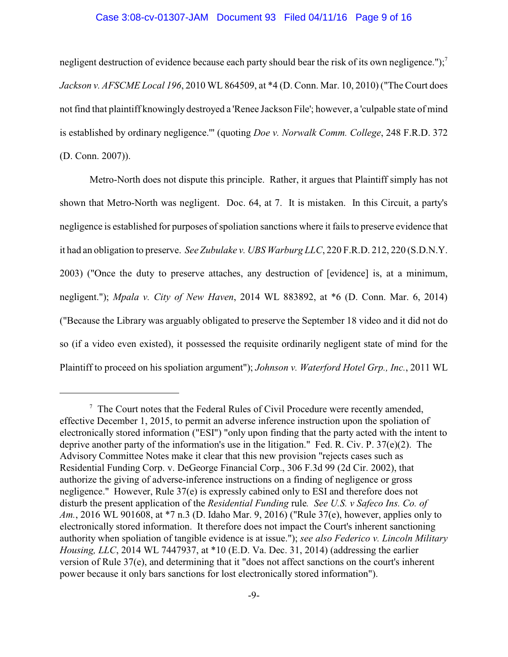### Case 3:08-cv-01307-JAM Document 93 Filed 04/11/16 Page 9 of 16

negligent destruction of evidence because each party should bear the risk of its own negligence.");<sup>7</sup> *Jackson v. AFSCME Local 196*, 2010 WL 864509, at \*4 (D. Conn. Mar. 10, 2010) ("The Court does not find that plaintiff knowingly destroyed a 'Renee Jackson File'; however, a 'culpable state of mind is established by ordinary negligence.'" (quoting *Doe v. Norwalk Comm. College*, 248 F.R.D. 372 (D. Conn. 2007)).

Metro-North does not dispute this principle. Rather, it argues that Plaintiff simply has not shown that Metro-North was negligent. Doc. 64, at 7. It is mistaken. In this Circuit, a party's negligence is established for purposes of spoliation sanctions where it fails to preserve evidence that it had an obligation to preserve. *See Zubulake v. UBS Warburg LLC*, 220 F.R.D. 212, 220 (S.D.N.Y. 2003) ("Once the duty to preserve attaches, any destruction of [evidence] is, at a minimum, negligent."); *Mpala v. City of New Haven*, 2014 WL 883892, at \*6 (D. Conn. Mar. 6, 2014) ("Because the Library was arguably obligated to preserve the September 18 video and it did not do so (if a video even existed), it possessed the requisite ordinarily negligent state of mind for the Plaintiff to proceed on his spoliation argument"); *Johnson v. Waterford Hotel Grp., Inc.*, 2011 WL

 $\frac{7}{7}$  The Court notes that the Federal Rules of Civil Procedure were recently amended, effective December 1, 2015, to permit an adverse inference instruction upon the spoliation of electronically stored information ("ESI") "only upon finding that the party acted with the intent to deprive another party of the information's use in the litigation." Fed. R. Civ. P. 37(e)(2). The Advisory Committee Notes make it clear that this new provision "rejects cases such as Residential Funding Corp. v. DeGeorge Financial Corp., 306 F.3d 99 (2d Cir. 2002), that authorize the giving of adverse-inference instructions on a finding of negligence or gross negligence." However, Rule 37(e) is expressly cabined only to ESI and therefore does not disturb the present application of the *Residential Funding* rule*. See U.S. v Safeco Ins. Co. of Am.*, 2016 WL 901608, at \*7 n.3 (D. Idaho Mar. 9, 2016) ("Rule 37(e), however, applies only to electronically stored information. It therefore does not impact the Court's inherent sanctioning authority when spoliation of tangible evidence is at issue."); *see also Federico v. Lincoln Military Housing, LLC*, 2014 WL 7447937, at \*10 (E.D. Va. Dec. 31, 2014) (addressing the earlier version of Rule 37(e), and determining that it "does not affect sanctions on the court's inherent power because it only bars sanctions for lost electronically stored information").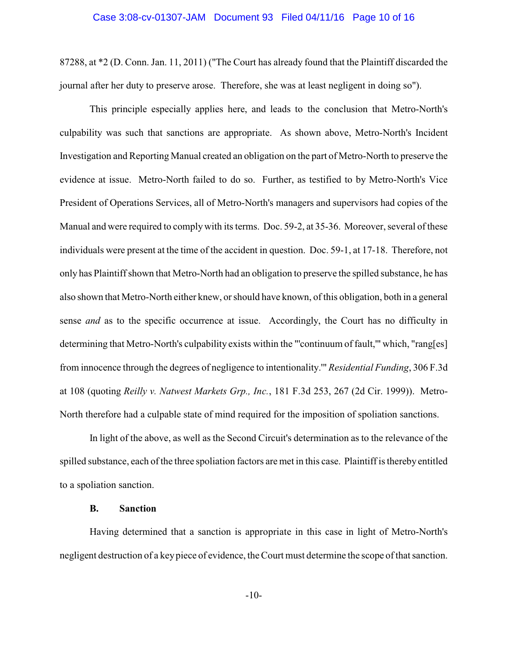#### Case 3:08-cv-01307-JAM Document 93 Filed 04/11/16 Page 10 of 16

87288, at \*2 (D. Conn. Jan. 11, 2011) ("The Court has already found that the Plaintiff discarded the journal after her duty to preserve arose. Therefore, she was at least negligent in doing so").

This principle especially applies here, and leads to the conclusion that Metro-North's culpability was such that sanctions are appropriate. As shown above, Metro-North's Incident Investigation and Reporting Manual created an obligation on the part of Metro-North to preserve the evidence at issue. Metro-North failed to do so. Further, as testified to by Metro-North's Vice President of Operations Services, all of Metro-North's managers and supervisors had copies of the Manual and were required to comply with its terms. Doc. 59-2, at 35-36. Moreover, several of these individuals were present at the time of the accident in question. Doc. 59-1, at 17-18. Therefore, not only has Plaintiff shown that Metro-North had an obligation to preserve the spilled substance, he has also shown that Metro-North either knew, or should have known, of this obligation, both in a general sense *and* as to the specific occurrence at issue. Accordingly, the Court has no difficulty in determining that Metro-North's culpability exists within the "'continuum of fault,'" which, "rang[es] from innocence through the degrees of negligence to intentionality.'" *Residential Funding*, 306 F.3d at 108 (quoting *Reilly v. Natwest Markets Grp., Inc.*, 181 F.3d 253, 267 (2d Cir. 1999)). Metro-North therefore had a culpable state of mind required for the imposition of spoliation sanctions.

In light of the above, as well as the Second Circuit's determination as to the relevance of the spilled substance, each of the three spoliation factors aremet in this case. Plaintiff is thereby entitled to a spoliation sanction.

#### **B. Sanction**

Having determined that a sanction is appropriate in this case in light of Metro-North's negligent destruction of a key piece of evidence, the Court must determine the scope of that sanction.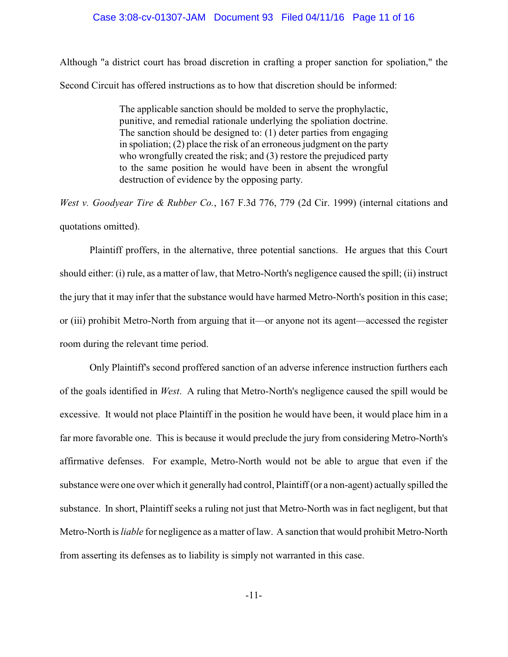#### Case 3:08-cv-01307-JAM Document 93 Filed 04/11/16 Page 11 of 16

Although "a district court has broad discretion in crafting a proper sanction for spoliation," the Second Circuit has offered instructions as to how that discretion should be informed:

> The applicable sanction should be molded to serve the prophylactic, punitive, and remedial rationale underlying the spoliation doctrine. The sanction should be designed to: (1) deter parties from engaging in spoliation; (2) place the risk of an erroneous judgment on the party who wrongfully created the risk; and (3) restore the prejudiced party to the same position he would have been in absent the wrongful destruction of evidence by the opposing party.

*West v. Goodyear Tire & Rubber Co.*, 167 F.3d 776, 779 (2d Cir. 1999) (internal citations and quotations omitted).

Plaintiff proffers, in the alternative, three potential sanctions. He argues that this Court should either: (i) rule, as a matter of law, that Metro-North's negligence caused the spill; (ii) instruct the jury that it may infer that the substance would have harmed Metro-North's position in this case; or (iii) prohibit Metro-North from arguing that it—or anyone not its agent—accessed the register room during the relevant time period.

Only Plaintiff's second proffered sanction of an adverse inference instruction furthers each of the goals identified in *West*. A ruling that Metro-North's negligence caused the spill would be excessive. It would not place Plaintiff in the position he would have been, it would place him in a far more favorable one. This is because it would preclude the jury from considering Metro-North's affirmative defenses. For example, Metro-North would not be able to argue that even if the substance were one over which it generally had control, Plaintiff (or a non-agent) actually spilled the substance. In short, Plaintiff seeks a ruling not just that Metro-North was in fact negligent, but that Metro-North is *liable* for negligence as a matter of law. A sanction that would prohibit Metro-North from asserting its defenses as to liability is simply not warranted in this case.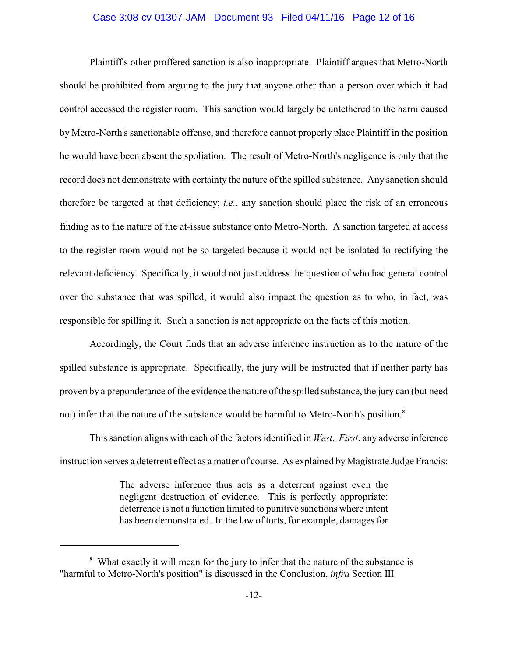#### Case 3:08-cv-01307-JAM Document 93 Filed 04/11/16 Page 12 of 16

Plaintiff's other proffered sanction is also inappropriate. Plaintiff argues that Metro-North should be prohibited from arguing to the jury that anyone other than a person over which it had control accessed the register room. This sanction would largely be untethered to the harm caused by Metro-North's sanctionable offense, and therefore cannot properly place Plaintiff in the position he would have been absent the spoliation. The result of Metro-North's negligence is only that the record does not demonstrate with certainty the nature of the spilled substance*.* Any sanction should therefore be targeted at that deficiency; *i.e.*, any sanction should place the risk of an erroneous finding as to the nature of the at-issue substance onto Metro-North. A sanction targeted at access to the register room would not be so targeted because it would not be isolated to rectifying the relevant deficiency. Specifically, it would not just address the question of who had general control over the substance that was spilled, it would also impact the question as to who, in fact, was responsible for spilling it. Such a sanction is not appropriate on the facts of this motion.

Accordingly, the Court finds that an adverse inference instruction as to the nature of the spilled substance is appropriate. Specifically, the jury will be instructed that if neither party has proven by a preponderance of the evidence the nature of the spilled substance, the jury can (but need not) infer that the nature of the substance would be harmful to Metro-North's position.<sup>8</sup>

This sanction aligns with each of the factors identified in *West*. *First*, any adverse inference instruction serves a deterrent effect as a matter of course. As explained byMagistrate Judge Francis:

> The adverse inference thus acts as a deterrent against even the negligent destruction of evidence. This is perfectly appropriate: deterrence is not a function limited to punitive sanctions where intent has been demonstrated. In the law of torts, for example, damages for

<sup>&</sup>lt;sup>8</sup> What exactly it will mean for the jury to infer that the nature of the substance is "harmful to Metro-North's position" is discussed in the Conclusion, *infra* Section III.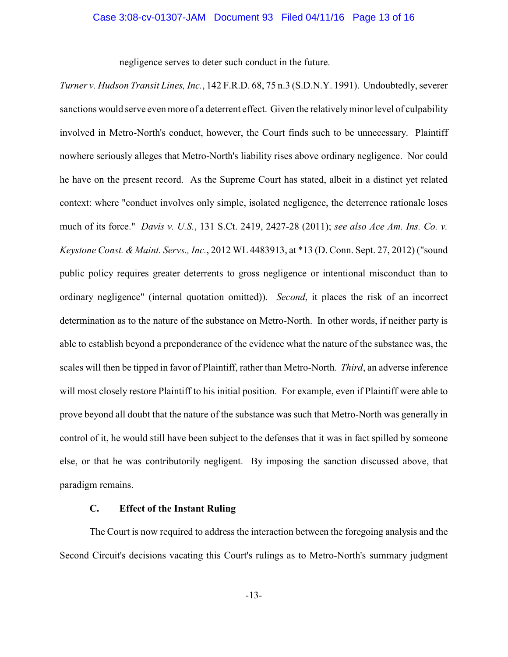negligence serves to deter such conduct in the future.

*Turner v. Hudson Transit Lines, Inc.*, 142 F.R.D. 68, 75 n.3 (S.D.N.Y. 1991). Undoubtedly, severer sanctions would serve even more of a deterrent effect. Given the relativelyminor level of culpability involved in Metro-North's conduct, however, the Court finds such to be unnecessary. Plaintiff nowhere seriously alleges that Metro-North's liability rises above ordinary negligence. Nor could he have on the present record. As the Supreme Court has stated, albeit in a distinct yet related context: where "conduct involves only simple, isolated negligence, the deterrence rationale loses much of its force." *Davis v. U.S.*, 131 S.Ct. 2419, 2427-28 (2011); *see also Ace Am. Ins. Co. v. Keystone Const. & Maint. Servs., Inc.*, 2012 WL 4483913, at \*13 (D. Conn. Sept. 27, 2012) ("sound public policy requires greater deterrents to gross negligence or intentional misconduct than to ordinary negligence" (internal quotation omitted)). *Second*, it places the risk of an incorrect determination as to the nature of the substance on Metro-North. In other words, if neither party is able to establish beyond a preponderance of the evidence what the nature of the substance was, the scales will then be tipped in favor of Plaintiff, rather than Metro-North. *Third*, an adverse inference will most closely restore Plaintiff to his initial position. For example, even if Plaintiff were able to prove beyond all doubt that the nature of the substance was such that Metro-North was generally in control of it, he would still have been subject to the defenses that it was in fact spilled by someone else, or that he was contributorily negligent. By imposing the sanction discussed above, that paradigm remains.

## **C. Effect of the Instant Ruling**

The Court is now required to address the interaction between the foregoing analysis and the Second Circuit's decisions vacating this Court's rulings as to Metro-North's summary judgment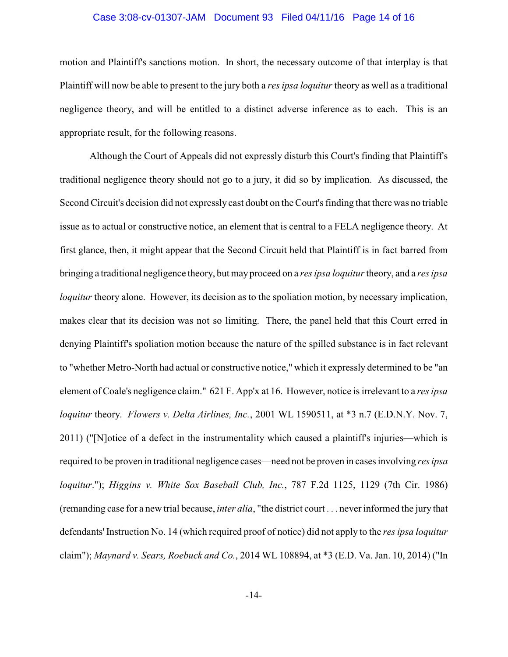#### Case 3:08-cv-01307-JAM Document 93 Filed 04/11/16 Page 14 of 16

motion and Plaintiff's sanctions motion. In short, the necessary outcome of that interplay is that Plaintiff will now be able to present to the jury both a *res ipsa loquitur* theory as well as a traditional negligence theory, and will be entitled to a distinct adverse inference as to each. This is an appropriate result, for the following reasons.

Although the Court of Appeals did not expressly disturb this Court's finding that Plaintiff's traditional negligence theory should not go to a jury, it did so by implication. As discussed, the Second Circuit's decision did not expressly cast doubt on the Court's finding that there was no triable issue as to actual or constructive notice, an element that is central to a FELA negligence theory. At first glance, then, it might appear that the Second Circuit held that Plaintiff is in fact barred from bringing a traditional negligence theory, but may proceed on a *res ipsa loquitur*theory, and a *res ipsa loquitur* theory alone. However, its decision as to the spoliation motion, by necessary implication, makes clear that its decision was not so limiting. There, the panel held that this Court erred in denying Plaintiff's spoliation motion because the nature of the spilled substance is in fact relevant to "whether Metro-North had actual or constructive notice," which it expressly determined to be "an element of Coale's negligence claim." 621 F. App'x at 16. However, notice is irrelevant to a *res ipsa loquitur* theory. *Flowers v. Delta Airlines, Inc.*, 2001 WL 1590511, at \*3 n.7 (E.D.N.Y. Nov. 7, 2011) ("[N]otice of a defect in the instrumentality which caused a plaintiff's injuries—which is required to be proven in traditional negligence cases—need not be proven in cases involving *res ipsa loquitur*."); *Higgins v. White Sox Baseball Club, Inc.*, 787 F.2d 1125, 1129 (7th Cir. 1986) (remanding case for a new trial because, *inter alia*, "the district court . . . never informed the jury that defendants' Instruction No. 14 (which required proof of notice) did not apply to the *res ipsa loquitur* claim"); *Maynard v. Sears, Roebuck and Co.*, 2014 WL 108894, at \*3 (E.D. Va. Jan. 10, 2014) ("In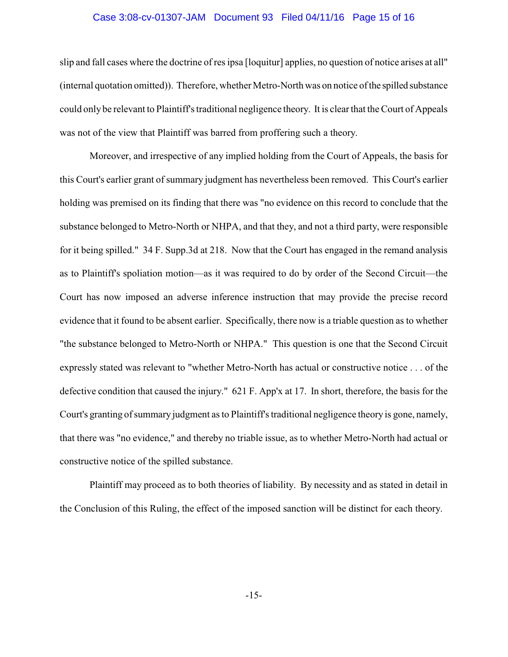#### Case 3:08-cv-01307-JAM Document 93 Filed 04/11/16 Page 15 of 16

slip and fall cases where the doctrine of res ipsa [loquitur] applies, no question of notice arises at all" (internal quotation omitted)). Therefore, whether Metro-North was on notice of the spilled substance could only be relevant to Plaintiff's traditional negligence theory. It is clear that the Court of Appeals was not of the view that Plaintiff was barred from proffering such a theory.

Moreover, and irrespective of any implied holding from the Court of Appeals, the basis for this Court's earlier grant of summary judgment has nevertheless been removed. This Court's earlier holding was premised on its finding that there was "no evidence on this record to conclude that the substance belonged to Metro-North or NHPA, and that they, and not a third party, were responsible for it being spilled." 34 F. Supp.3d at 218. Now that the Court has engaged in the remand analysis as to Plaintiff's spoliation motion—as it was required to do by order of the Second Circuit—the Court has now imposed an adverse inference instruction that may provide the precise record evidence that it found to be absent earlier. Specifically, there now is a triable question as to whether "the substance belonged to Metro-North or NHPA." This question is one that the Second Circuit expressly stated was relevant to "whether Metro-North has actual or constructive notice . . . of the defective condition that caused the injury." 621 F. App'x at 17. In short, therefore, the basis for the Court's granting of summary judgment as to Plaintiff's traditional negligence theory is gone, namely, that there was "no evidence," and thereby no triable issue, as to whether Metro-North had actual or constructive notice of the spilled substance.

Plaintiff may proceed as to both theories of liability. By necessity and as stated in detail in the Conclusion of this Ruling, the effect of the imposed sanction will be distinct for each theory.